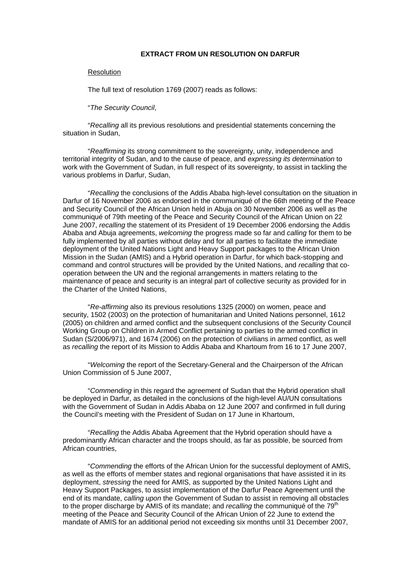## **EXTRACT FROM UN RESOLUTION ON DARFUR**

## **Resolution**

The full text of resolution 1769 (2007) reads as follows:

## "*The Security Council*,

"*Recalling* all its previous resolutions and presidential statements concerning the situation in Sudan,

"*Reaffirming* its strong commitment to the sovereignty, unity, independence and territorial integrity of Sudan, and to the cause of peace, and *expressing its determination* to work with the Government of Sudan, in full respect of its sovereignty, to assist in tackling the various problems in Darfur, Sudan,

"*Recalling* the conclusions of the Addis Ababa high-level consultation on the situation in Darfur of 16 November 2006 as endorsed in the communiqué of the 66th meeting of the Peace and Security Council of the African Union held in Abuja on 30 November 2006 as well as the communiqué of 79th meeting of the Peace and Security Council of the African Union on 22 June 2007, *recalling* the statement of its President of 19 December 2006 endorsing the Addis Ababa and Abuja agreements, *welcoming* the progress made so far and *calling* for them to be fully implemented by all parties without delay and for all parties to facilitate the immediate deployment of the United Nations Light and Heavy Support packages to the African Union Mission in the Sudan (AMIS) and a Hybrid operation in Darfur, for which back-stopping and command and control structures will be provided by the United Nations, and *recalling* that cooperation between the UN and the regional arrangements in matters relating to the maintenance of peace and security is an integral part of collective security as provided for in the Charter of the United Nations,

"*Re-affirming* also its previous resolutions 1325 (2000) on women, peace and security, 1502 (2003) on the protection of humanitarian and United Nations personnel, 1612 (2005) on children and armed conflict and the subsequent conclusions of the Security Council Working Group on Children in Armed Conflict pertaining to parties to the armed conflict in Sudan (S/2006/971), and 1674 (2006) on the protection of civilians in armed conflict, as well as *recalling* the report of its Mission to Addis Ababa and Khartoum from 16 to 17 June 2007,

"*Welcoming* the report of the Secretary-General and the Chairperson of the African Union Commission of 5 June 2007,

"*Commending* in this regard the agreement of Sudan that the Hybrid operation shall be deployed in Darfur, as detailed in the conclusions of the high-level AU/UN consultations with the Government of Sudan in Addis Ababa on 12 June 2007 and confirmed in full during the Council's meeting with the President of Sudan on 17 June in Khartoum,

"*Recalling* the Addis Ababa Agreement that the Hybrid operation should have a predominantly African character and the troops should, as far as possible, be sourced from African countries,

"*Commending* the efforts of the African Union for the successful deployment of AMIS, as well as the efforts of member states and regional organisations that have assisted it in its deployment, *stressing* the need for AMIS, as supported by the United Nations Light and Heavy Support Packages, to assist implementation of the Darfur Peace Agreement until the end of its mandate, *calling upon* the Government of Sudan to assist in removing all obstacles to the proper discharge by AMIS of its mandate; and *recalling* the communiqué of the 79<sup>th</sup> meeting of the Peace and Security Council of the African Union of 22 June to extend the mandate of AMIS for an additional period not exceeding six months until 31 December 2007,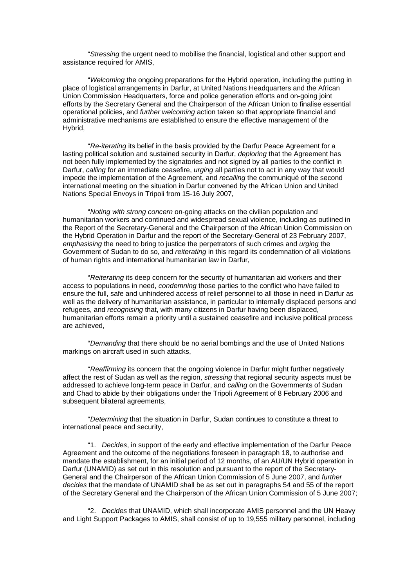"*Stressing* the urgent need to mobilise the financial, logistical and other support and assistance required for AMIS,

"*Welcoming* the ongoing preparations for the Hybrid operation, including the putting in place of logistical arrangements in Darfur, at United Nations Headquarters and the African Union Commission Headquarters, force and police generation efforts and on-going joint efforts by the Secretary General and the Chairperson of the African Union to finalise essential operational policies, and *further welcoming* action taken so that appropriate financial and administrative mechanisms are established to ensure the effective management of the Hybrid,

"*Re-iterating* its belief in the basis provided by the Darfur Peace Agreement for a lasting political solution and sustained security in Darfur, *deploring* that the Agreement has not been fully implemented by the signatories and not signed by all parties to the conflict in Darfur, *calling* for an immediate ceasefire, *urging* all parties not to act in any way that would impede the implementation of the Agreement, and *recalling* the communiqué of the second international meeting on the situation in Darfur convened by the African Union and United Nations Special Envoys in Tripoli from 15-16 July 2007,

"*Noting with strong concern* on-going attacks on the civilian population and humanitarian workers and continued and widespread sexual violence, including as outlined in the Report of the Secretary-General and the Chairperson of the African Union Commission on the Hybrid Operation in Darfur and the report of the Secretary-General of 23 February 2007, *emphasising* the need to bring to justice the perpetrators of such crimes and *urging* the Government of Sudan to do so, and *reiterating* in this regard its condemnation of all violations of human rights and international humanitarian law in Darfur,

"*Reiterating* its deep concern for the security of humanitarian aid workers and their access to populations in need, *condemning* those parties to the conflict who have failed to ensure the full, safe and unhindered access of relief personnel to all those in need in Darfur as well as the delivery of humanitarian assistance, in particular to internally displaced persons and refugees, and *recognising* that, with many citizens in Darfur having been displaced, humanitarian efforts remain a priority until a sustained ceasefire and inclusive political process are achieved,

"*Demanding* that there should be no aerial bombings and the use of United Nations markings on aircraft used in such attacks,

"*Reaffirming* its concern that the ongoing violence in Darfur might further negatively affect the rest of Sudan as well as the region, *stressing* that regional security aspects must be addressed to achieve long-term peace in Darfur, and *calling* on the Governments of Sudan and Chad to abide by their obligations under the Tripoli Agreement of 8 February 2006 and subsequent bilateral agreements.

"*Determining* that the situation in Darfur, Sudan continues to constitute a threat to international peace and security,

"1. *Decides*, in support of the early and effective implementation of the Darfur Peace Agreement and the outcome of the negotiations foreseen in paragraph 18, to authorise and mandate the establishment, for an initial period of 12 months, of an AU/UN Hybrid operation in Darfur (UNAMID) as set out in this resolution and pursuant to the report of the Secretary-General and the Chairperson of the African Union Commission of 5 June 2007, and *further decides* that the mandate of UNAMID shall be as set out in paragraphs 54 and 55 of the report of the Secretary General and the Chairperson of the African Union Commission of 5 June 2007;

"2. *Decides* that UNAMID, which shall incorporate AMIS personnel and the UN Heavy and Light Support Packages to AMIS, shall consist of up to 19,555 military personnel, including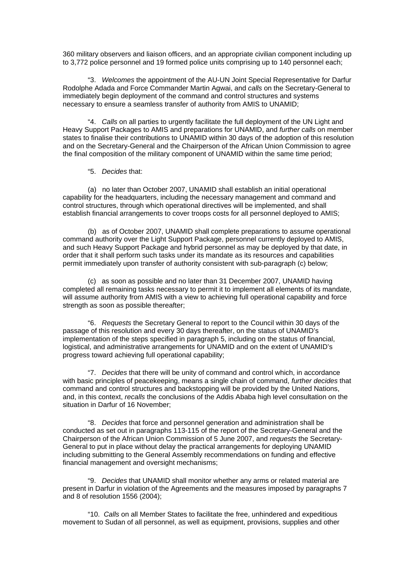360 military observers and liaison officers, and an appropriate civilian component including up to 3,772 police personnel and 19 formed police units comprising up to 140 personnel each;

"3. *Welcomes* the appointment of the AU-UN Joint Special Representative for Darfur Rodolphe Adada and Force Commander Martin Agwai, and *calls* on the Secretary-General to immediately begin deployment of the command and control structures and systems necessary to ensure a seamless transfer of authority from AMIS to UNAMID;

"4. *Calls* on all parties to urgently facilitate the full deployment of the UN Light and Heavy Support Packages to AMIS and preparations for UNAMID, and *further calls* on member states to finalise their contributions to UNAMID within 30 days of the adoption of this resolution and on the Secretary-General and the Chairperson of the African Union Commission to agree the final composition of the military component of UNAMID within the same time period;

## "5. *Decides* that:

(a) no later than October 2007, UNAMID shall establish an initial operational capability for the headquarters, including the necessary management and command and control structures, through which operational directives will be implemented, and shall establish financial arrangements to cover troops costs for all personnel deployed to AMIS;

(b) as of October 2007, UNAMID shall complete preparations to assume operational command authority over the Light Support Package, personnel currently deployed to AMIS, and such Heavy Support Package and hybrid personnel as may be deployed by that date, in order that it shall perform such tasks under its mandate as its resources and capabilities permit immediately upon transfer of authority consistent with sub-paragraph (c) below;

(c) as soon as possible and no later than 31 December 2007, UNAMID having completed all remaining tasks necessary to permit it to implement all elements of its mandate, will assume authority from AMIS with a view to achieving full operational capability and force strength as soon as possible thereafter:

"6. *Requests* the Secretary General to report to the Council within 30 days of the passage of this resolution and every 30 days thereafter, on the status of UNAMID's implementation of the steps specified in paragraph 5, including on the status of financial, logistical, and administrative arrangements for UNAMID and on the extent of UNAMID's progress toward achieving full operational capability;

"7. *Decides* that there will be unity of command and control which, in accordance with basic principles of peacekeeping, means a single chain of command, *further decides* that command and control structures and backstopping will be provided by the United Nations, and, in this context, *recalls* the conclusions of the Addis Ababa high level consultation on the situation in Darfur of 16 November;

"8. *Decides* that force and personnel generation and administration shall be conducted as set out in paragraphs 113-115 of the report of the Secretary-General and the Chairperson of the African Union Commission of 5 June 2007, and *requests* the Secretary-General to put in place without delay the practical arrangements for deploying UNAMID including submitting to the General Assembly recommendations on funding and effective financial management and oversight mechanisms;

"9. *Decides* that UNAMID shall monitor whether any arms or related material are present in Darfur in violation of the Agreements and the measures imposed by paragraphs 7 and 8 of resolution 1556 (2004);

"10. *Calls* on all Member States to facilitate the free, unhindered and expeditious movement to Sudan of all personnel, as well as equipment, provisions, supplies and other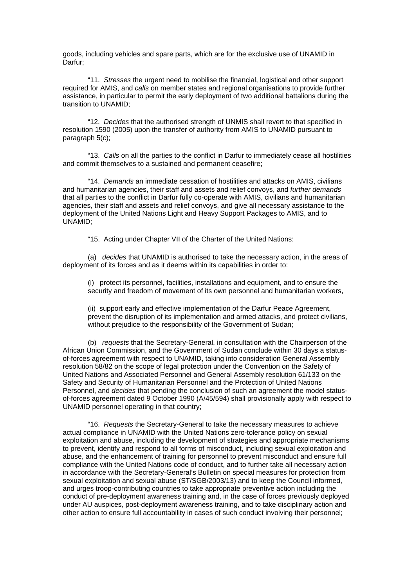goods, including vehicles and spare parts, which are for the exclusive use of UNAMID in Darfur;

"11. *Stresses* the urgent need to mobilise the financial, logistical and other support required for AMIS, and *calls* on member states and regional organisations to provide further assistance, in particular to permit the early deployment of two additional battalions during the transition to UNAMID;

"12. *Decides* that the authorised strength of UNMIS shall revert to that specified in resolution 1590 (2005) upon the transfer of authority from AMIS to UNAMID pursuant to paragraph 5(c);

"13. *Calls* on all the parties to the conflict in Darfur to immediately cease all hostilities and commit themselves to a sustained and permanent ceasefire;

"14. *Demands* an immediate cessation of hostilities and attacks on AMIS, civilians and humanitarian agencies, their staff and assets and relief convoys, and *further demands* that all parties to the conflict in Darfur fully co-operate with AMIS, civilians and humanitarian agencies, their staff and assets and relief convoys, and give all necessary assistance to the deployment of the United Nations Light and Heavy Support Packages to AMIS, and to UNAMID;

"15. Acting under Chapter VII of the Charter of the United Nations:

(a) *decides* that UNAMID is authorised to take the necessary action, in the areas of deployment of its forces and as it deems within its capabilities in order to:

(i) protect its personnel, facilities, installations and equipment, and to ensure the security and freedom of movement of its own personnel and humanitarian workers,

(ii) support early and effective implementation of the Darfur Peace Agreement, prevent the disruption of its implementation and armed attacks, and protect civilians, without prejudice to the responsibility of the Government of Sudan;

(b) *requests* that the Secretary-General, in consultation with the Chairperson of the African Union Commission, and the Government of Sudan conclude within 30 days a statusof-forces agreement with respect to UNAMID, taking into consideration General Assembly resolution 58/82 on the scope of legal protection under the Convention on the Safety of United Nations and Associated Personnel and General Assembly resolution 61/133 on the Safety and Security of Humanitarian Personnel and the Protection of United Nations Personnel, and *decides* that pending the conclusion of such an agreement the model statusof-forces agreement dated 9 October 1990 (A/45/594) shall provisionally apply with respect to UNAMID personnel operating in that country;

"16. *Requests* the Secretary-General to take the necessary measures to achieve actual compliance in UNAMID with the United Nations zero-tolerance policy on sexual exploitation and abuse, including the development of strategies and appropriate mechanisms to prevent, identify and respond to all forms of misconduct, including sexual exploitation and abuse, and the enhancement of training for personnel to prevent misconduct and ensure full compliance with the United Nations code of conduct, and to further take all necessary action in accordance with the Secretary-General's Bulletin on special measures for protection from sexual exploitation and sexual abuse (ST/SGB/2003/13) and to keep the Council informed, and urges troop-contributing countries to take appropriate preventive action including the conduct of pre-deployment awareness training and, in the case of forces previously deployed under AU auspices, post-deployment awareness training, and to take disciplinary action and other action to ensure full accountability in cases of such conduct involving their personnel;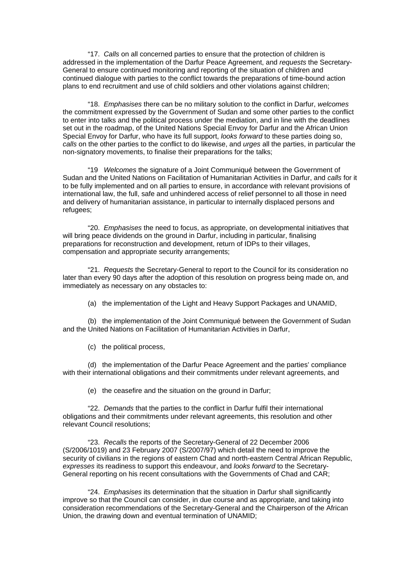"17. *Calls* on all concerned parties to ensure that the protection of children is addressed in the implementation of the Darfur Peace Agreement, and *requests* the Secretary-General to ensure continued monitoring and reporting of the situation of children and continued dialogue with parties to the conflict towards the preparations of time-bound action plans to end recruitment and use of child soldiers and other violations against children;

"18. *Emphasises* there can be no military solution to the conflict in Darfur, *welcomes* the commitment expressed by the Government of Sudan and some other parties to the conflict to enter into talks and the political process under the mediation, and in line with the deadlines set out in the roadmap, of the United Nations Special Envoy for Darfur and the African Union Special Envoy for Darfur, who have its full support, *looks forward* to these parties doing so, *calls* on the other parties to the conflict to do likewise, and *urges* all the parties, in particular the non-signatory movements, to finalise their preparations for the talks;

"19 *Welcomes* the signature of a Joint Communiqué between the Government of Sudan and the United Nations on Facilitation of Humanitarian Activities in Darfur, and *calls* for it to be fully implemented and on all parties to ensure, in accordance with relevant provisions of international law, the full, safe and unhindered access of relief personnel to all those in need and delivery of humanitarian assistance, in particular to internally displaced persons and refugees;

"20. *Emphasises* the need to focus, as appropriate, on developmental initiatives that will bring peace dividends on the ground in Darfur, including in particular, finalising preparations for reconstruction and development, return of IDPs to their villages, compensation and appropriate security arrangements;

"21. *Requests* the Secretary-General to report to the Council for its consideration no later than every 90 days after the adoption of this resolution on progress being made on, and immediately as necessary on any obstacles to:

(a) the implementation of the Light and Heavy Support Packages and UNAMID,

(b) the implementation of the Joint Communiqué between the Government of Sudan and the United Nations on Facilitation of Humanitarian Activities in Darfur,

(c) the political process,

(d) the implementation of the Darfur Peace Agreement and the parties' compliance with their international obligations and their commitments under relevant agreements, and

(e) the ceasefire and the situation on the ground in Darfur;

"22. *Demands* that the parties to the conflict in Darfur fulfil their international obligations and their commitments under relevant agreements, this resolution and other relevant Council resolutions;

"23. *Recalls* the reports of the Secretary-General of 22 December 2006 (S/2006/1019) and 23 February 2007 (S/2007/97) which detail the need to improve the security of civilians in the regions of eastern Chad and north-eastern Central African Republic, *expresses* its readiness to support this endeavour, and *looks forward* to the Secretary-General reporting on his recent consultations with the Governments of Chad and CAR;

"24. *Emphasises* its determination that the situation in Darfur shall significantly improve so that the Council can consider, in due course and as appropriate, and taking into consideration recommendations of the Secretary-General and the Chairperson of the African Union, the drawing down and eventual termination of UNAMID;